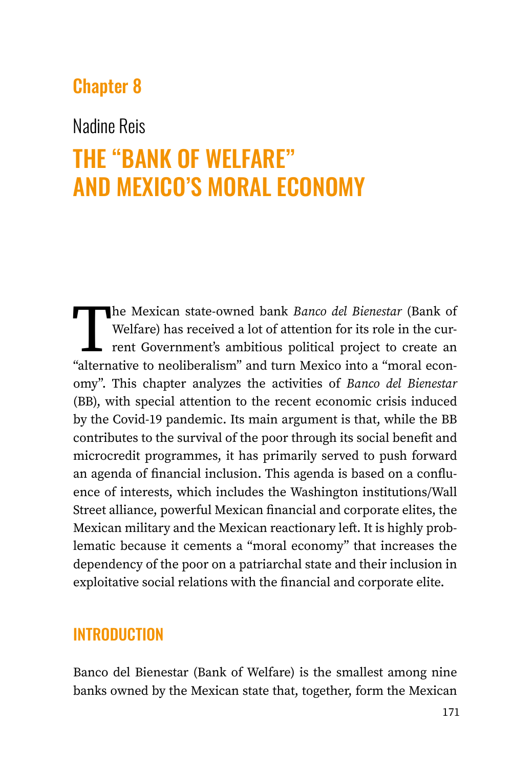# Chapter 8

# Nadine Reis

# THE "BANK OF WELFARE" AND MEXICO'S MORAL ECONOMY

The Mexican state-owned bank *Banco del Bienestar* (Bank of Welfare) has received a lot of attention for its role in the current Government's ambitious political project to create an "alternative to neoliberalism" and turn Welfare) has received a lot of attention for its role in the current Government's ambitious political project to create an "alternative to neoliberalism" and turn Mexico into a "moral economy". This chapter analyzes the activities of *Banco del Bienestar*  (BB), with special attention to the recent economic crisis induced by the Covid-19 pandemic. Its main argument is that, while the BB contributes to the survival of the poor through its social benefit and microcredit programmes, it has primarily served to push forward an agenda of financial inclusion. This agenda is based on a confluence of interests, which includes the Washington institutions/Wall Street alliance, powerful Mexican financial and corporate elites, the Mexican military and the Mexican reactionary left. It is highly problematic because it cements a "moral economy" that increases the dependency of the poor on a patriarchal state and their inclusion in exploitative social relations with the financial and corporate elite.

# INTRODUCTION

Banco del Bienestar (Bank of Welfare) is the smallest among nine banks owned by the Mexican state that, together, form the Mexican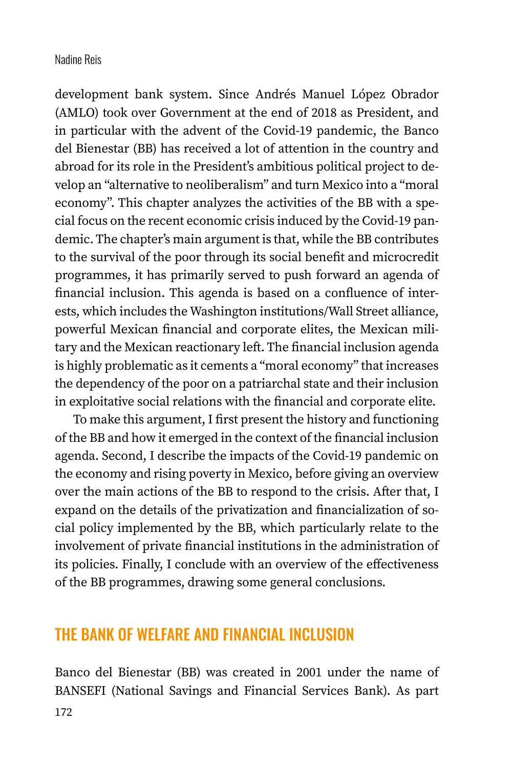development bank system. Since Andrés Manuel López Obrador (AMLO) took over Government at the end of 2018 as President, and in particular with the advent of the Covid-19 pandemic, the Banco del Bienestar (BB) has received a lot of attention in the country and abroad for its role in the President's ambitious political project to develop an "alternative to neoliberalism" and turn Mexico into a "moral economy". This chapter analyzes the activities of the BB with a special focus on the recent economic crisis induced by the Covid-19 pandemic. The chapter's main argument is that, while the BB contributes to the survival of the poor through its social benefit and microcredit programmes, it has primarily served to push forward an agenda of financial inclusion. This agenda is based on a confluence of interests, which includes the Washington institutions/Wall Street alliance, powerful Mexican financial and corporate elites, the Mexican military and the Mexican reactionary left. The financial inclusion agenda is highly problematic as it cements a "moral economy" that increases the dependency of the poor on a patriarchal state and their inclusion in exploitative social relations with the financial and corporate elite.

To make this argument, I first present the history and functioning of the BB and how it emerged in the context of the financial inclusion agenda. Second, I describe the impacts of the Covid-19 pandemic on the economy and rising poverty in Mexico, before giving an overview over the main actions of the BB to respond to the crisis. After that, I expand on the details of the privatization and financialization of social policy implemented by the BB, which particularly relate to the involvement of private financial institutions in the administration of its policies. Finally, I conclude with an overview of the effectiveness of the BB programmes, drawing some general conclusions.

### THE BANK OF WELFARE AND FINANCIAL INCLUSION

Banco del Bienestar (BB) was created in 2001 under the name of BANSEFI (National Savings and Financial Services Bank). As part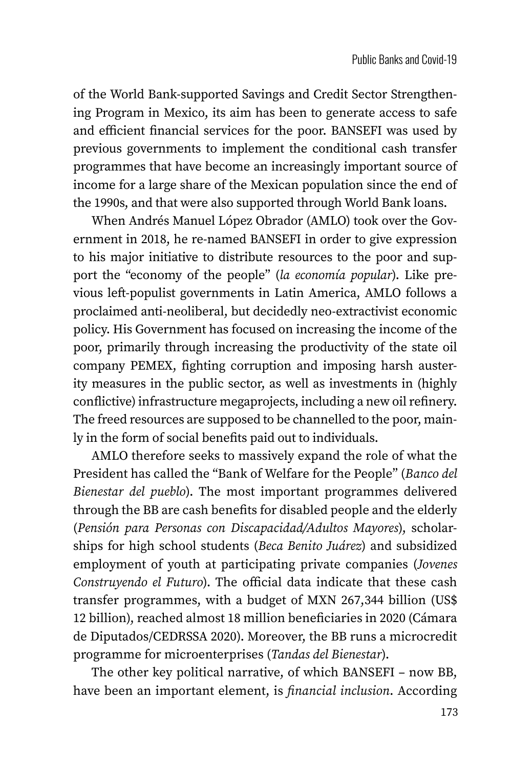of the World Bank-supported Savings and Credit Sector Strengthening Program in Mexico, its aim has been to generate access to safe and efficient financial services for the poor. BANSEFI was used by previous governments to implement the conditional cash transfer programmes that have become an increasingly important source of income for a large share of the Mexican population since the end of the 1990s, and that were also supported through World Bank loans.

When Andrés Manuel López Obrador (AMLO) took over the Government in 2018, he re-named BANSEFI in order to give expression to his major initiative to distribute resources to the poor and support the "economy of the people" (*la economía popular*). Like previous left-populist governments in Latin America, AMLO follows a proclaimed anti-neoliberal, but decidedly neo-extractivist economic policy. His Government has focused on increasing the income of the poor, primarily through increasing the productivity of the state oil company PEMEX, fighting corruption and imposing harsh austerity measures in the public sector, as well as investments in (highly conflictive) infrastructure megaprojects, including a new oil refinery. The freed resources are supposed to be channelled to the poor, mainly in the form of social benefits paid out to individuals.

AMLO therefore seeks to massively expand the role of what the President has called the "Bank of Welfare for the People" (*Banco del Bienestar del pueblo*). The most important programmes delivered through the BB are cash benefits for disabled people and the elderly (*Pensión para Personas con Discapacidad/Adultos Mayores*), scholarships for high school students (*Beca Benito Juárez*) and subsidized employment of youth at participating private companies (*Jovenes Construyendo el Futuro*). The official data indicate that these cash transfer programmes, with a budget of MXN 267,344 billion (US\$ 12 billion), reached almost 18 million beneficiaries in 2020 (Cámara de Diputados/CEDRSSA 2020). Moreover, the BB runs a microcredit programme for microenterprises (*Tandas del Bienestar*).

The other key political narrative, of which BANSEFI – now BB, have been an important element, is *financial inclusion*. According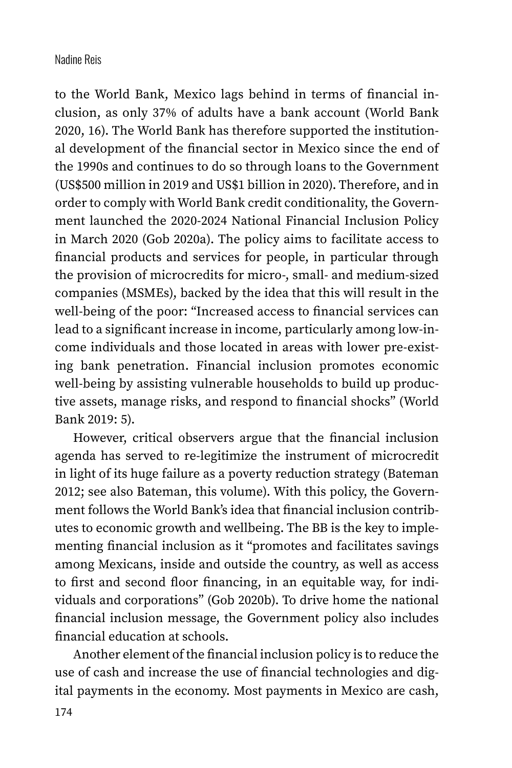to the World Bank, Mexico lags behind in terms of financial inclusion, as only 37% of adults have a bank account (World Bank 2020, 16). The World Bank has therefore supported the institutional development of the financial sector in Mexico since the end of the 1990s and continues to do so through loans to the Government (US\$500 million in 2019 and US\$1 billion in 2020). Therefore, and in order to comply with World Bank credit conditionality, the Government launched the 2020-2024 National Financial Inclusion Policy in March 2020 (Gob 2020a). The policy aims to facilitate access to financial products and services for people, in particular through the provision of microcredits for micro-, small- and medium-sized companies (MSMEs), backed by the idea that this will result in the well-being of the poor: "Increased access to financial services can lead to a significant increase in income, particularly among low-income individuals and those located in areas with lower pre-existing bank penetration. Financial inclusion promotes economic well-being by assisting vulnerable households to build up productive assets, manage risks, and respond to financial shocks" (World Bank 2019: 5).

However, critical observers argue that the financial inclusion agenda has served to re-legitimize the instrument of microcredit in light of its huge failure as a poverty reduction strategy (Bateman 2012; see also Bateman, this volume). With this policy, the Government follows the World Bank's idea that financial inclusion contributes to economic growth and wellbeing. The BB is the key to implementing financial inclusion as it "promotes and facilitates savings among Mexicans, inside and outside the country, as well as access to first and second floor financing, in an equitable way, for individuals and corporations" (Gob 2020b). To drive home the national financial inclusion message, the Government policy also includes financial education at schools.

Another element of the financial inclusion policy is to reduce the use of cash and increase the use of financial technologies and digital payments in the economy. Most payments in Mexico are cash,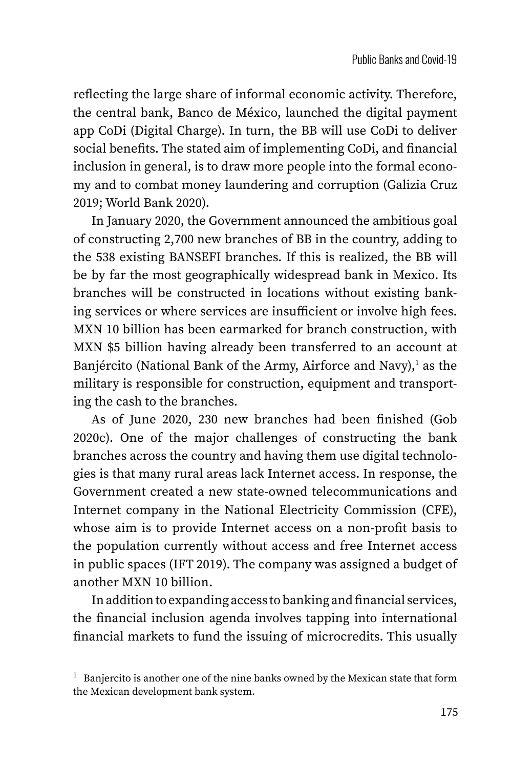reflecting the large share of informal economic activity. Therefore, the central bank, Banco de México, launched the digital payment app CoDi (Digital Charge). In turn, the BB will use CoDi to deliver social benefits. The stated aim of implementing CoDi, and financial inclusion in general, is to draw more people into the formal economy and to combat money laundering and corruption (Galizia Cruz 2019; World Bank 2020).

In January 2020, the Government announced the ambitious goal of constructing 2,700 new branches of BB in the country, adding to the 538 existing BANSEFI branches. If this is realized, the BB will be by far the most geographically widespread bank in Mexico. Its branches will be constructed in locations without existing banking services or where services are insufficient or involve high fees. MXN 10 billion has been earmarked for branch construction, with MXN \$5 billion having already been transferred to an account at Banjército (National Bank of the Army, Airforce and Navy), $^{\rm l}$  as the military is responsible for construction, equipment and transporting the cash to the branches.

As of June 2020, 230 new branches had been finished (Gob 2020c). One of the major challenges of constructing the bank branches across the country and having them use digital technologies is that many rural areas lack Internet access. In response, the Government created a new state-owned telecommunications and Internet company in the National Electricity Commission (CFE), whose aim is to provide Internet access on a non-profit basis to the population currently without access and free Internet access in public spaces (IFT 2019). The company was assigned a budget of another MXN 10 billion.

In addition to expanding access to banking and financial services, the financial inclusion agenda involves tapping into international financial markets to fund the issuing of microcredits. This usually

 $1$  Banjercito is another one of the nine banks owned by the Mexican state that form the Mexican development bank system.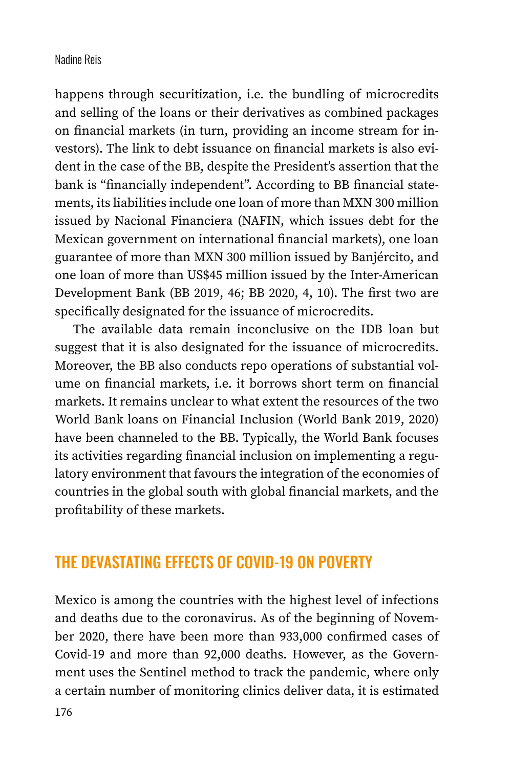happens through securitization, i.e. the bundling of microcredits and selling of the loans or their derivatives as combined packages on financial markets (in turn, providing an income stream for investors). The link to debt issuance on financial markets is also evident in the case of the BB, despite the President's assertion that the bank is "financially independent". According to BB financial statements, its liabilities include one loan of more than MXN 300 million issued by Nacional Financiera (NAFIN, which issues debt for the Mexican government on international financial markets), one loan guarantee of more than MXN 300 million issued by Banjército, and one loan of more than US\$45 million issued by the Inter-American Development Bank (BB 2019, 46; BB 2020, 4, 10). The first two are specifically designated for the issuance of microcredits.

The available data remain inconclusive on the IDB loan but suggest that it is also designated for the issuance of microcredits. Moreover, the BB also conducts repo operations of substantial volume on financial markets, i.e. it borrows short term on financial markets. It remains unclear to what extent the resources of the two World Bank loans on Financial Inclusion (World Bank 2019, 2020) have been channeled to the BB. Typically, the World Bank focuses its activities regarding financial inclusion on implementing a regulatory environment that favours the integration of the economies of countries in the global south with global financial markets, and the profitability of these markets.

### THE DEVASTATING EFFECTS OF COVID-19 ON POVERTY

Mexico is among the countries with the highest level of infections and deaths due to the coronavirus. As of the beginning of November 2020, there have been more than 933,000 confirmed cases of Covid-19 and more than 92,000 deaths. However, as the Government uses the Sentinel method to track the pandemic, where only a certain number of monitoring clinics deliver data, it is estimated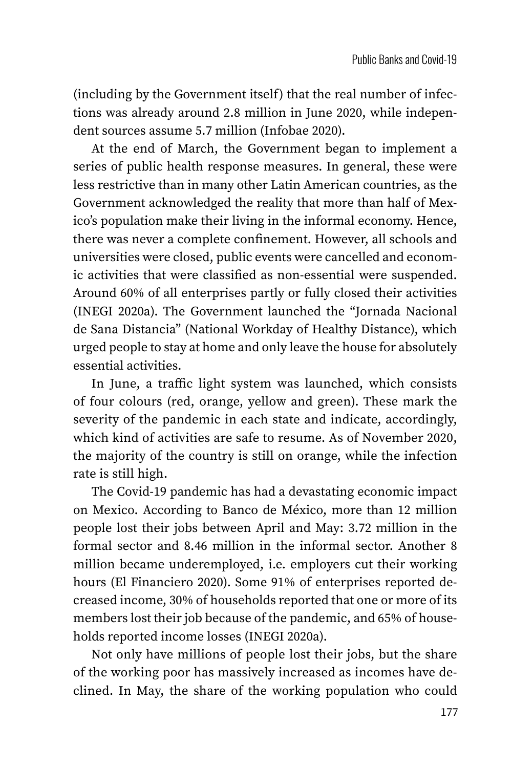(including by the Government itself) that the real number of infections was already around 2.8 million in June 2020, while independent sources assume 5.7 million (Infobae 2020).

At the end of March, the Government began to implement a series of public health response measures. In general, these were less restrictive than in many other Latin American countries, as the Government acknowledged the reality that more than half of Mexico's population make their living in the informal economy. Hence, there was never a complete confinement. However, all schools and universities were closed, public events were cancelled and economic activities that were classified as non-essential were suspended. Around 60% of all enterprises partly or fully closed their activities (INEGI 2020a). The Government launched the "Jornada Nacional de Sana Distancia" (National Workday of Healthy Distance), which urged people to stay at home and only leave the house for absolutely essential activities.

In June, a traffic light system was launched, which consists of four colours (red, orange, yellow and green). These mark the severity of the pandemic in each state and indicate, accordingly, which kind of activities are safe to resume. As of November 2020, the majority of the country is still on orange, while the infection rate is still high.

The Covid-19 pandemic has had a devastating economic impact on Mexico. According to Banco de México, more than 12 million people lost their jobs between April and May: 3.72 million in the formal sector and 8.46 million in the informal sector. Another 8 million became underemployed, i.e. employers cut their working hours (El Financiero 2020). Some 91% of enterprises reported decreased income, 30% of households reported that one or more of its members lost their job because of the pandemic, and 65% of households reported income losses (INEGI 2020a).

Not only have millions of people lost their jobs, but the share of the working poor has massively increased as incomes have declined. In May, the share of the working population who could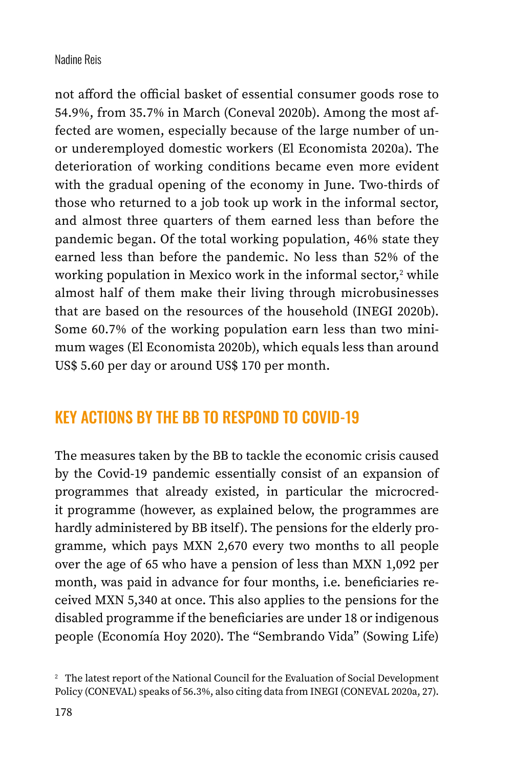not afford the official basket of essential consumer goods rose to 54.9%, from 35.7% in March (Coneval 2020b). Among the most affected are women, especially because of the large number of unor underemployed domestic workers (El Economista 2020a). The deterioration of working conditions became even more evident with the gradual opening of the economy in June. Two-thirds of those who returned to a job took up work in the informal sector, and almost three quarters of them earned less than before the pandemic began. Of the total working population, 46% state they earned less than before the pandemic. No less than 52% of the working population in Mexico work in the informal sector, $^{\text{z}}$  while almost half of them make their living through microbusinesses that are based on the resources of the household (INEGI 2020b). Some 60.7% of the working population earn less than two minimum wages (El Economista 2020b), which equals less than around US\$ 5.60 per day or around US\$ 170 per month.

# KEY ACTIONS BY THE BB TO RESPOND TO COVID-19

The measures taken by the BB to tackle the economic crisis caused by the Covid-19 pandemic essentially consist of an expansion of programmes that already existed, in particular the microcredit programme (however, as explained below, the programmes are hardly administered by BB itself). The pensions for the elderly programme, which pays MXN 2,670 every two months to all people over the age of 65 who have a pension of less than MXN 1,092 per month, was paid in advance for four months, i.e. beneficiaries received MXN 5,340 at once. This also applies to the pensions for the disabled programme if the beneficiaries are under 18 or indigenous people (Economía Hoy 2020). The "Sembrando Vida" (Sowing Life)

<sup>2</sup> The latest report of the National Council for the Evaluation of Social Development Policy (CONEVAL) speaks of 56.3%, also citing data from INEGI (CONEVAL 2020a, 27).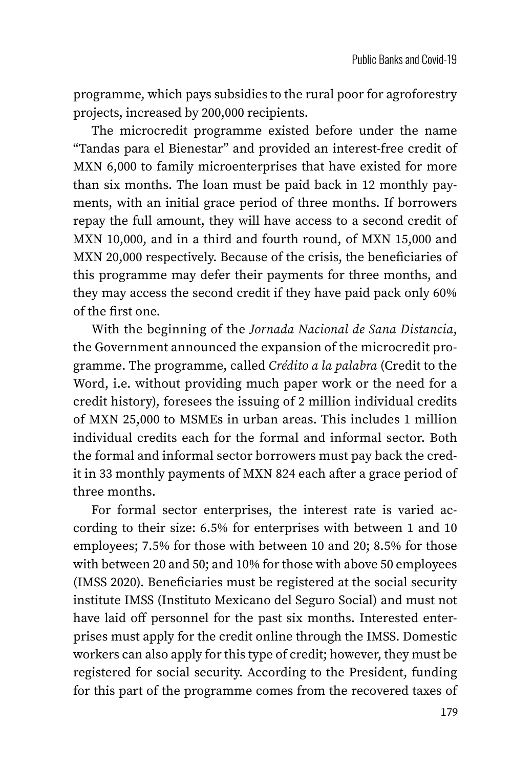programme, which pays subsidies to the rural poor for agroforestry projects, increased by 200,000 recipients.

The microcredit programme existed before under the name "Tandas para el Bienestar" and provided an interest-free credit of MXN 6,000 to family microenterprises that have existed for more than six months. The loan must be paid back in 12 monthly payments, with an initial grace period of three months. If borrowers repay the full amount, they will have access to a second credit of MXN 10,000, and in a third and fourth round, of MXN 15,000 and MXN 20,000 respectively. Because of the crisis, the beneficiaries of this programme may defer their payments for three months, and they may access the second credit if they have paid pack only 60% of the first one.

With the beginning of the *Jornada Nacional de Sana Distancia*, the Government announced the expansion of the microcredit programme. The programme, called *Crédito a la palabra* (Credit to the Word, i.e. without providing much paper work or the need for a credit history), foresees the issuing of 2 million individual credits of MXN 25,000 to MSMEs in urban areas. This includes 1 million individual credits each for the formal and informal sector. Both the formal and informal sector borrowers must pay back the credit in 33 monthly payments of MXN 824 each after a grace period of three months.

For formal sector enterprises, the interest rate is varied according to their size: 6.5% for enterprises with between 1 and 10 employees; 7.5% for those with between 10 and 20; 8.5% for those with between 20 and 50; and 10% for those with above 50 employees (IMSS 2020). Beneficiaries must be registered at the social security institute IMSS (Instituto Mexicano del Seguro Social) and must not have laid off personnel for the past six months. Interested enterprises must apply for the credit online through the IMSS. Domestic workers can also apply for this type of credit; however, they must be registered for social security. According to the President, funding for this part of the programme comes from the recovered taxes of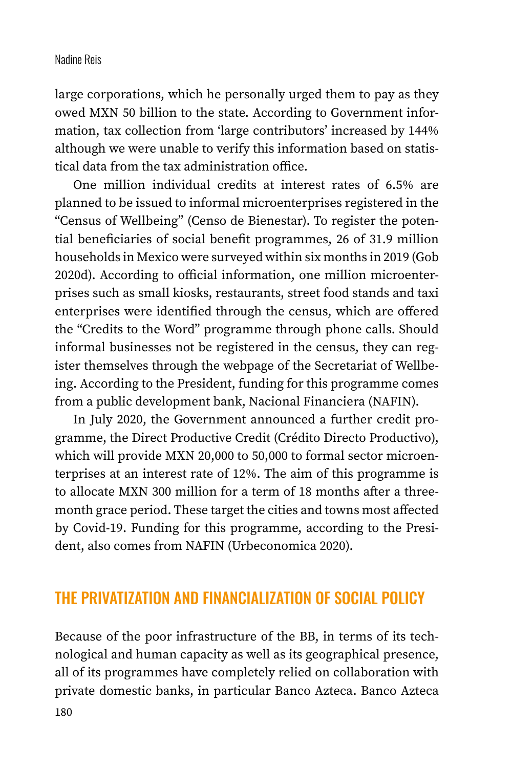large corporations, which he personally urged them to pay as they owed MXN 50 billion to the state. According to Government information, tax collection from 'large contributors' increased by 144% although we were unable to verify this information based on statistical data from the tax administration office.

One million individual credits at interest rates of 6.5% are planned to be issued to informal microenterprises registered in the "Census of Wellbeing" (Censo de Bienestar). To register the potential beneficiaries of social benefit programmes, 26 of 31.9 million households in Mexico were surveyed within six months in 2019 (Gob 2020d). According to official information, one million microenterprises such as small kiosks, restaurants, street food stands and taxi enterprises were identified through the census, which are offered the "Credits to the Word" programme through phone calls. Should informal businesses not be registered in the census, they can register themselves through the webpage of the Secretariat of Wellbeing. According to the President, funding for this programme comes from a public development bank, Nacional Financiera (NAFIN).

In July 2020, the Government announced a further credit programme, the Direct Productive Credit (Crédito Directo Productivo), which will provide MXN 20,000 to 50,000 to formal sector microenterprises at an interest rate of 12%. The aim of this programme is to allocate MXN 300 million for a term of 18 months after a threemonth grace period. These target the cities and towns most affected by Covid-19. Funding for this programme, according to the President, also comes from NAFIN (Urbeconomica 2020).

### THE PRIVATIZATION AND FINANCIALIZATION OF SOCIAL POLICY

Because of the poor infrastructure of the BB, in terms of its technological and human capacity as well as its geographical presence, all of its programmes have completely relied on collaboration with private domestic banks, in particular Banco Azteca. Banco Azteca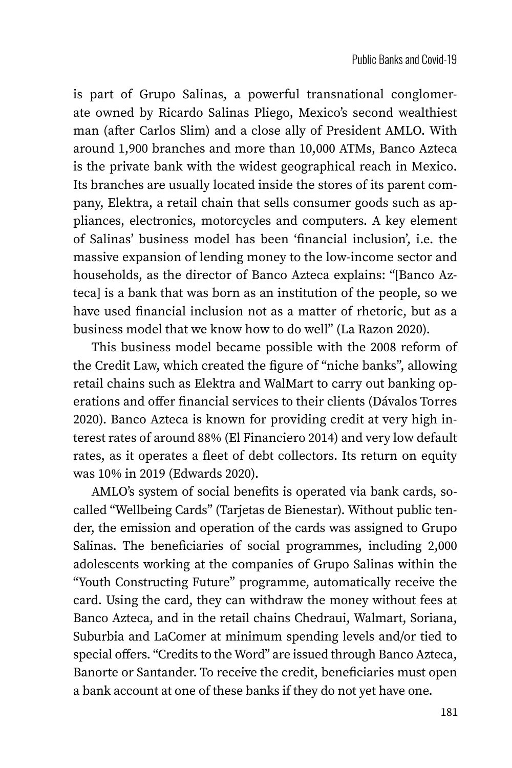is part of Grupo Salinas, a powerful transnational conglomerate owned by Ricardo Salinas Pliego, Mexico's second wealthiest man (after Carlos Slim) and a close ally of President AMLO. With around 1,900 branches and more than 10,000 ATMs, Banco Azteca is the private bank with the widest geographical reach in Mexico. Its branches are usually located inside the stores of its parent company, Elektra, a retail chain that sells consumer goods such as appliances, electronics, motorcycles and computers. A key element of Salinas' business model has been 'financial inclusion', i.e. the massive expansion of lending money to the low-income sector and households, as the director of Banco Azteca explains: "[Banco Azteca] is a bank that was born as an institution of the people, so we have used financial inclusion not as a matter of rhetoric, but as a business model that we know how to do well" (La Razon 2020).

This business model became possible with the 2008 reform of the Credit Law, which created the figure of "niche banks", allowing retail chains such as Elektra and WalMart to carry out banking operations and offer financial services to their clients (Dávalos Torres 2020). Banco Azteca is known for providing credit at very high interest rates of around 88% (El Financiero 2014) and very low default rates, as it operates a fleet of debt collectors. Its return on equity was 10% in 2019 (Edwards 2020).

AMLO's system of social benefits is operated via bank cards, socalled "Wellbeing Cards" (Tarjetas de Bienestar). Without public tender, the emission and operation of the cards was assigned to Grupo Salinas. The beneficiaries of social programmes, including 2,000 adolescents working at the companies of Grupo Salinas within the "Youth Constructing Future" programme, automatically receive the card. Using the card, they can withdraw the money without fees at Banco Azteca, and in the retail chains Chedraui, Walmart, Soriana, Suburbia and LaComer at minimum spending levels and/or tied to special offers. "Credits to the Word" are issued through Banco Azteca, Banorte or Santander. To receive the credit, beneficiaries must open a bank account at one of these banks if they do not yet have one.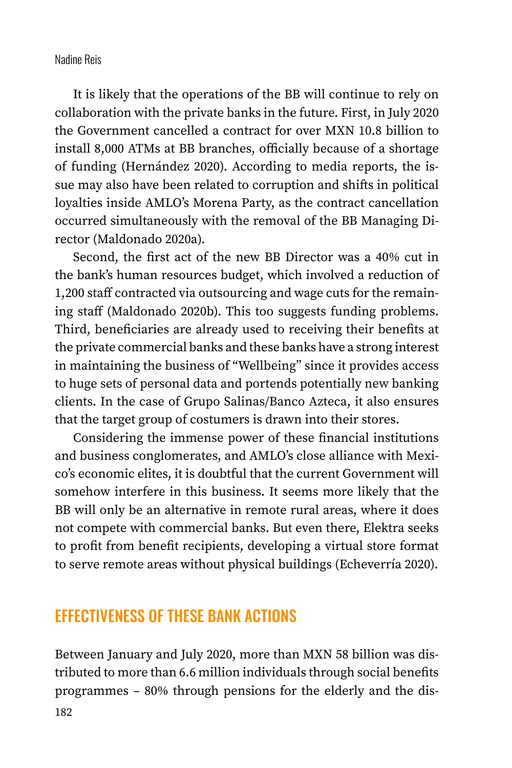It is likely that the operations of the BB will continue to rely on collaboration with the private banks in the future. First, in July 2020 the Government cancelled a contract for over MXN 10.8 billion to install 8,000 ATMs at BB branches, officially because of a shortage of funding (Hernández 2020). According to media reports, the issue may also have been related to corruption and shifts in political loyalties inside AMLO's Morena Party, as the contract cancellation occurred simultaneously with the removal of the BB Managing Director (Maldonado 2020a).

Second, the first act of the new BB Director was a 40% cut in the bank's human resources budget, which involved a reduction of 1,200 staff contracted via outsourcing and wage cuts for the remaining staff (Maldonado 2020b). This too suggests funding problems. Third, beneficiaries are already used to receiving their benefits at the private commercial banks and these banks have a strong interest in maintaining the business of "Wellbeing" since it provides access to huge sets of personal data and portends potentially new banking clients. In the case of Grupo Salinas/Banco Azteca, it also ensures that the target group of costumers is drawn into their stores.

Considering the immense power of these financial institutions and business conglomerates, and AMLO's close alliance with Mexico's economic elites, it is doubtful that the current Government will somehow interfere in this business. It seems more likely that the BB will only be an alternative in remote rural areas, where it does not compete with commercial banks. But even there, Elektra seeks to profit from benefit recipients, developing a virtual store format to serve remote areas without physical buildings (Echeverría 2020).

# EFFECTIVENESS OF THESE BANK ACTIONS

182 Between January and July 2020, more than MXN 58 billion was distributed to more than 6.6 million individuals through social benefits programmes – 80% through pensions for the elderly and the dis-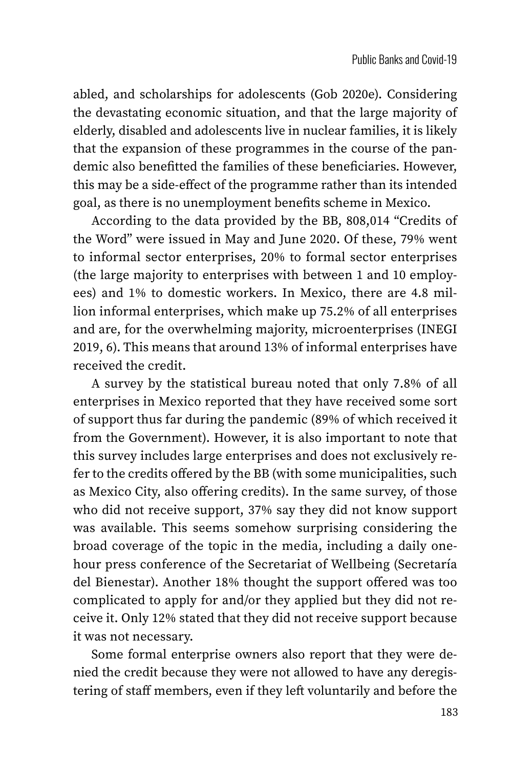abled, and scholarships for adolescents (Gob 2020e). Considering the devastating economic situation, and that the large majority of elderly, disabled and adolescents live in nuclear families, it is likely that the expansion of these programmes in the course of the pandemic also benefitted the families of these beneficiaries. However, this may be a side-effect of the programme rather than its intended goal, as there is no unemployment benefits scheme in Mexico.

According to the data provided by the BB, 808,014 "Credits of the Word" were issued in May and June 2020. Of these, 79% went to informal sector enterprises, 20% to formal sector enterprises (the large majority to enterprises with between 1 and 10 employees) and 1% to domestic workers. In Mexico, there are 4.8 million informal enterprises, which make up 75.2% of all enterprises and are, for the overwhelming majority, microenterprises (INEGI 2019, 6). This means that around 13% of informal enterprises have received the credit.

A survey by the statistical bureau noted that only 7.8% of all enterprises in Mexico reported that they have received some sort of support thus far during the pandemic (89% of which received it from the Government). However, it is also important to note that this survey includes large enterprises and does not exclusively refer to the credits offered by the BB (with some municipalities, such as Mexico City, also offering credits). In the same survey, of those who did not receive support, 37% say they did not know support was available. This seems somehow surprising considering the broad coverage of the topic in the media, including a daily onehour press conference of the Secretariat of Wellbeing (Secretaría del Bienestar). Another 18% thought the support offered was too complicated to apply for and/or they applied but they did not receive it. Only 12% stated that they did not receive support because it was not necessary.

Some formal enterprise owners also report that they were denied the credit because they were not allowed to have any deregistering of staff members, even if they left voluntarily and before the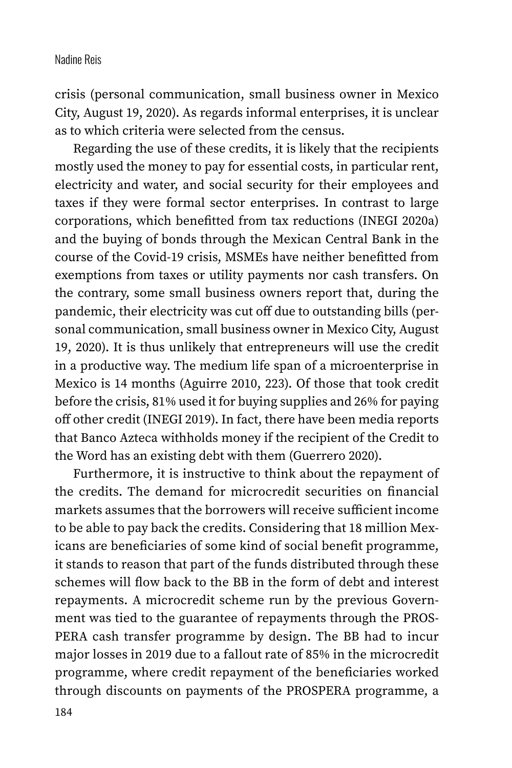crisis (personal communication, small business owner in Mexico City, August 19, 2020). As regards informal enterprises, it is unclear as to which criteria were selected from the census.

Regarding the use of these credits, it is likely that the recipients mostly used the money to pay for essential costs, in particular rent, electricity and water, and social security for their employees and taxes if they were formal sector enterprises. In contrast to large corporations, which benefitted from tax reductions (INEGI 2020a) and the buying of bonds through the Mexican Central Bank in the course of the Covid-19 crisis, MSMEs have neither benefitted from exemptions from taxes or utility payments nor cash transfers. On the contrary, some small business owners report that, during the pandemic, their electricity was cut off due to outstanding bills (personal communication, small business owner in Mexico City, August 19, 2020). It is thus unlikely that entrepreneurs will use the credit in a productive way. The medium life span of a microenterprise in Mexico is 14 months (Aguirre 2010, 223). Of those that took credit before the crisis, 81% used it for buying supplies and 26% for paying off other credit (INEGI 2019). In fact, there have been media reports that Banco Azteca withholds money if the recipient of the Credit to the Word has an existing debt with them (Guerrero 2020).

Furthermore, it is instructive to think about the repayment of the credits. The demand for microcredit securities on financial markets assumes that the borrowers will receive sufficient income to be able to pay back the credits. Considering that 18 million Mexicans are beneficiaries of some kind of social benefit programme, it stands to reason that part of the funds distributed through these schemes will flow back to the BB in the form of debt and interest repayments. A microcredit scheme run by the previous Government was tied to the guarantee of repayments through the PROS-PERA cash transfer programme by design. The BB had to incur major losses in 2019 due to a fallout rate of 85% in the microcredit programme, where credit repayment of the beneficiaries worked through discounts on payments of the PROSPERA programme, a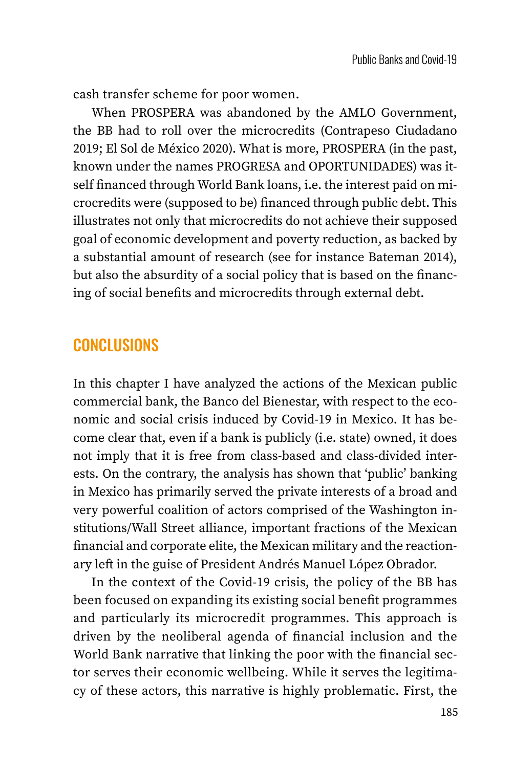cash transfer scheme for poor women.

When PROSPERA was abandoned by the AMLO Government, the BB had to roll over the microcredits (Contrapeso Ciudadano 2019; El Sol de México 2020). What is more, PROSPERA (in the past, known under the names PROGRESA and OPORTUNIDADES) was itself financed through World Bank loans, i.e. the interest paid on microcredits were (supposed to be) financed through public debt. This illustrates not only that microcredits do not achieve their supposed goal of economic development and poverty reduction, as backed by a substantial amount of research (see for instance Bateman 2014), but also the absurdity of a social policy that is based on the financing of social benefits and microcredits through external debt.

### **CONCLUSIONS**

In this chapter I have analyzed the actions of the Mexican public commercial bank, the Banco del Bienestar, with respect to the economic and social crisis induced by Covid-19 in Mexico. It has become clear that, even if a bank is publicly (i.e. state) owned, it does not imply that it is free from class-based and class-divided interests. On the contrary, the analysis has shown that 'public' banking in Mexico has primarily served the private interests of a broad and very powerful coalition of actors comprised of the Washington institutions/Wall Street alliance, important fractions of the Mexican financial and corporate elite, the Mexican military and the reactionary left in the guise of President Andrés Manuel López Obrador.

In the context of the Covid-19 crisis, the policy of the BB has been focused on expanding its existing social benefit programmes and particularly its microcredit programmes. This approach is driven by the neoliberal agenda of financial inclusion and the World Bank narrative that linking the poor with the financial sector serves their economic wellbeing. While it serves the legitimacy of these actors, this narrative is highly problematic. First, the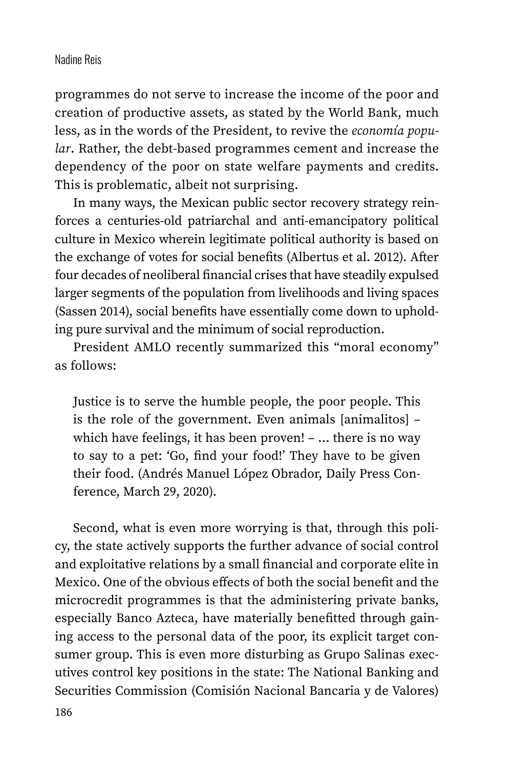programmes do not serve to increase the income of the poor and creation of productive assets, as stated by the World Bank, much less, as in the words of the President, to revive the *economía popular*. Rather, the debt-based programmes cement and increase the dependency of the poor on state welfare payments and credits. This is problematic, albeit not surprising.

In many ways, the Mexican public sector recovery strategy reinforces a centuries-old patriarchal and anti-emancipatory political culture in Mexico wherein legitimate political authority is based on the exchange of votes for social benefits (Albertus et al. 2012). After four decades of neoliberal financial crises that have steadily expulsed larger segments of the population from livelihoods and living spaces (Sassen 2014), social benefits have essentially come down to upholding pure survival and the minimum of social reproduction.

President AMLO recently summarized this "moral economy" as follows:

Justice is to serve the humble people, the poor people. This is the role of the government. Even animals [animalitos] – which have feelings, it has been proven! – … there is no way to say to a pet: 'Go, find your food!' They have to be given their food. (Andrés Manuel López Obrador, Daily Press Conference, March 29, 2020).

Second, what is even more worrying is that, through this policy, the state actively supports the further advance of social control and exploitative relations by a small financial and corporate elite in Mexico. One of the obvious effects of both the social benefit and the microcredit programmes is that the administering private banks, especially Banco Azteca, have materially benefitted through gaining access to the personal data of the poor, its explicit target consumer group. This is even more disturbing as Grupo Salinas executives control key positions in the state: The National Banking and Securities Commission (Comisión Nacional Bancaria y de Valores)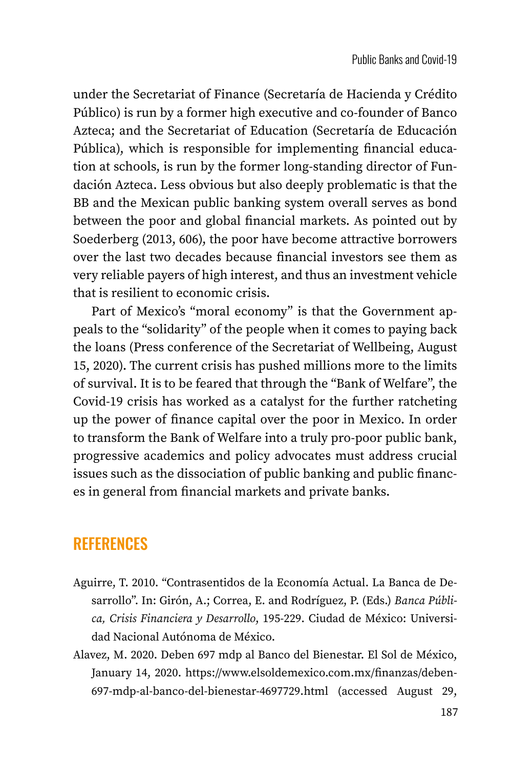under the Secretariat of Finance (Secretaría de Hacienda y Crédito Público) is run by a former high executive and co-founder of Banco Azteca; and the Secretariat of Education (Secretaría de Educación Pública), which is responsible for implementing financial education at schools, is run by the former long-standing director of Fundación Azteca. Less obvious but also deeply problematic is that the BB and the Mexican public banking system overall serves as bond between the poor and global financial markets. As pointed out by Soederberg (2013, 606), the poor have become attractive borrowers over the last two decades because financial investors see them as very reliable payers of high interest, and thus an investment vehicle that is resilient to economic crisis.

Part of Mexico's "moral economy" is that the Government appeals to the "solidarity" of the people when it comes to paying back the loans (Press conference of the Secretariat of Wellbeing, August 15, 2020). The current crisis has pushed millions more to the limits of survival. It is to be feared that through the "Bank of Welfare", the Covid-19 crisis has worked as a catalyst for the further ratcheting up the power of finance capital over the poor in Mexico. In order to transform the Bank of Welfare into a truly pro-poor public bank, progressive academics and policy advocates must address crucial issues such as the dissociation of public banking and public finances in general from financial markets and private banks.

# **REFERENCES**

- Aguirre, T. 2010. "Contrasentidos de la Economía Actual. La Banca de Desarrollo". In: Girón, A.; Correa, E. and Rodríguez, P. (Eds.) *Banca Pública, Crisis Financiera y Desarrollo*, 195-229. Ciudad de México: Universidad Nacional Autónoma de México.
- Alavez, M. 2020. Deben 697 mdp al Banco del Bienestar. El Sol de México, January 14, 2020. [https://www.elsoldemexico.com.mx/finanzas/deben-](https://www.elsoldemexico.com.mx/finanzas/deben-697-mdp-al-banco-del-bienestar-4697729.html)[697-mdp-al-banco-del-bienestar-4697729.html](https://www.elsoldemexico.com.mx/finanzas/deben-697-mdp-al-banco-del-bienestar-4697729.html) (accessed August 29,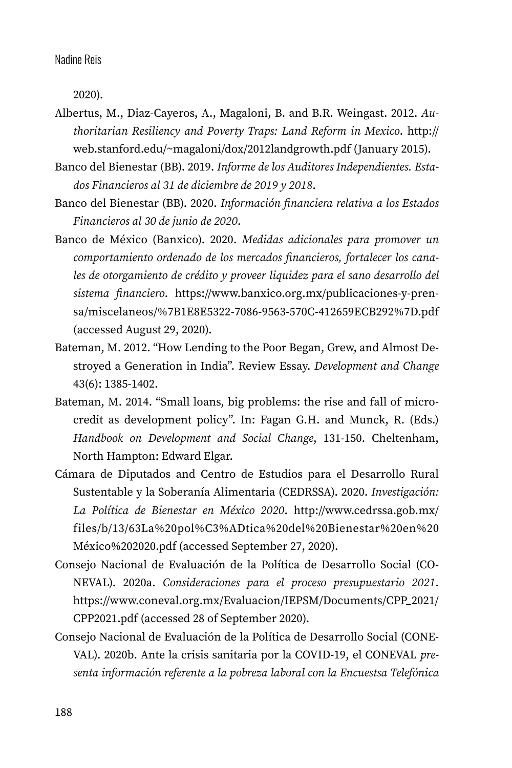2020).

- Albertus, M., Diaz-Cayeros, A., Magaloni, B. and B.R. Weingast. 2012. *Authoritarian Resiliency and Poverty Traps: Land Reform in Mexico*. [http://](http://web.stanford.edu/~magaloni/dox/2012landgrowth.pdf) [web.stanford.edu/~magaloni/dox/2012landgrowth.pdf](http://web.stanford.edu/~magaloni/dox/2012landgrowth.pdf) (January 2015).
- Banco del Bienestar (BB). 2019. *Informe de los Auditores Independientes. Estados Financieros al 31 de diciembre de 2019 y 2018*.
- Banco del Bienestar (BB). 2020. *Información financiera relativa a los Estados Financieros al 30 de junio de 2020*.
- Banco de México (Banxico). 2020. *Medidas adicionales para promover un comportamiento ordenado de los mercados financieros, fortalecer los canales de otorgamiento de crédito y proveer liquidez para el sano desarrollo del sistema financiero*. [https://www.banxico.org.mx/publicaciones-y-pren](https://www.banxico.org.mx/publicaciones-y-prensa/miscelaneos/%7B1E8E5322-7086-9563-570C-412659ECB292%7D.pdf)[sa/miscelaneos/%7B1E8E5322-7086-9563-570C-412659ECB292%7D.pdf](https://www.banxico.org.mx/publicaciones-y-prensa/miscelaneos/%7B1E8E5322-7086-9563-570C-412659ECB292%7D.pdf) (accessed August 29, 2020).
- Bateman, M. 2012. "How Lending to the Poor Began, Grew, and Almost Destroyed a Generation in India". Review Essay. *Development and Change*  43(6): 1385-1402.
- Bateman, M. 2014. "Small loans, big problems: the rise and fall of microcredit as development policy". In: Fagan G.H. and Munck, R. (Eds.) *Handbook on Development and Social Change*, 131-150. Cheltenham, North Hampton: Edward Elgar.
- Cámara de Diputados and Centro de Estudios para el Desarrollo Rural Sustentable y la Soberanía Alimentaria (CEDRSSA). 2020. *Investigación: La Política de Bienestar en México 2020*. [http://www.cedrssa.gob.mx/](http://www.cedrssa.gob.mx/files/b/13/63La%20pol%C3%ADtica%20del%20Bienestar%20en) [files/b/13/63La%20pol%C3%ADtica%20del%20Bienestar%20en%](http://www.cedrssa.gob.mx/files/b/13/63La%20pol%C3%ADtica%20del%20Bienestar%20en)20 México%202020.pdf (accessed September 27, 2020).
- Consejo Nacional de Evaluación de la Política de Desarrollo Social (CO-NEVAL). 2020a. *Consideraciones para el proceso presupuestario 2021*. [https://www.coneval.org.mx/Evaluacion/IEPSM/Documents/CPP\\_2021/](https://www.coneval.org.mx/Evaluacion/IEPSM/Documents/CPP_2021/CPP2021.pdf) [CPP2021.pdf](https://www.coneval.org.mx/Evaluacion/IEPSM/Documents/CPP_2021/CPP2021.pdf) (accessed 28 of September 2020).
- Consejo Nacional de Evaluación de la Política de Desarrollo Social (CONE-VAL). 2020b. Ante la crisis sanitaria por la COVID-19, el CONEVAL *presenta información referente a la pobreza laboral con la Encuestsa Telefónica*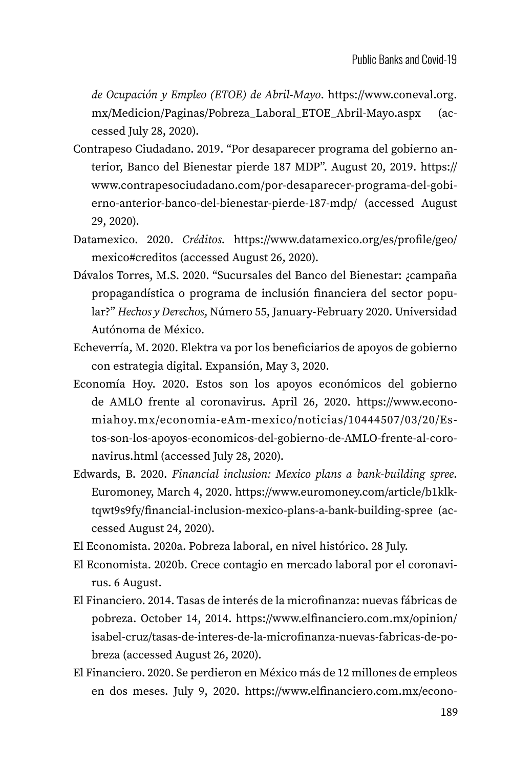*de Ocupación y Empleo (ETOE) de Abril-Mayo*. [https://www.coneval.org.](https://www.coneval.org.mx/Medicion/Paginas/Pobreza_Laboral_ETOE_Abril-Mayo.aspx) [mx/Medicion/Paginas/Pobreza\\_Laboral\\_ETOE\\_Abril-Mayo.aspx](https://www.coneval.org.mx/Medicion/Paginas/Pobreza_Laboral_ETOE_Abril-Mayo.aspx) (accessed July 28, 2020).

- Contrapeso Ciudadano. 2019. "Por desaparecer programa del gobierno anterior, Banco del Bienestar pierde 187 MDP". August 20, 2019. [https://](https://www.contrapesociudadano.com/por-desaparecer-programa-del-gobierno-anterior-banco-del-bienestar-pierde-187-mdp/) [www.contrapesociudadano.com/por-desaparecer-programa-del-gobi](https://www.contrapesociudadano.com/por-desaparecer-programa-del-gobierno-anterior-banco-del-bienestar-pierde-187-mdp/)[erno-anterior-banco-del-bienestar-pierde-187-mdp/](https://www.contrapesociudadano.com/por-desaparecer-programa-del-gobierno-anterior-banco-del-bienestar-pierde-187-mdp/) (accessed August 29, 2020).
- Datamexico. 2020. *Créditos*. [https://www.datamexico.org/es/profile/geo/](https://www.datamexico.org/es/profile/geo/mexico#creditos) [mexico#creditos](https://www.datamexico.org/es/profile/geo/mexico#creditos) (accessed August 26, 2020).
- Dávalos Torres, M.S. 2020. "Sucursales del Banco del Bienestar: ¿campaña propagandística o programa de inclusión financiera del sector popular?" *Hechos y Derechos*, Número 55, January-February 2020. Universidad Autónoma de México.
- Echeverría, M. 2020. Elektra va por los beneficiarios de apoyos de gobierno con estrategia digital. Expansión, May 3, 2020.
- Economía Hoy. 2020. Estos son los apoyos económicos del gobierno de AMLO frente al coronavirus. April 26, 2020. [https://www.econo](https://www.economiahoy.mx/economia-eAm-mexico/noticias/10444507/03/20/Estos-son-los-apoyos-economicos-del-gobierno-de-AMLO-frente-al-coronavirus.html)[miahoy.mx/economia-eAm-mexico/noticias/10444507/03/20/Es](https://www.economiahoy.mx/economia-eAm-mexico/noticias/10444507/03/20/Estos-son-los-apoyos-economicos-del-gobierno-de-AMLO-frente-al-coronavirus.html)[tos-son-los-apoyos-economicos-del-gobierno-de-AMLO-frente-al-coro](https://www.economiahoy.mx/economia-eAm-mexico/noticias/10444507/03/20/Estos-son-los-apoyos-economicos-del-gobierno-de-AMLO-frente-al-coronavirus.html)[navirus.html](https://www.economiahoy.mx/economia-eAm-mexico/noticias/10444507/03/20/Estos-son-los-apoyos-economicos-del-gobierno-de-AMLO-frente-al-coronavirus.html) (accessed July 28, 2020).
- Edwards, B. 2020. *Financial inclusion: Mexico plans a bank-building spree*. Euromoney, March 4, 2020. [https://www.euromoney.com/article/b1klk](https://www.euromoney.com/article/b1klktqwt9s9fy/financial-inclusion-mexico-plans-a-bank-building-spree)[tqwt9s9fy/financial-inclusion-mexico-plans-a-bank-building-spree](https://www.euromoney.com/article/b1klktqwt9s9fy/financial-inclusion-mexico-plans-a-bank-building-spree) (accessed August 24, 2020).
- El Economista. 2020a. Pobreza laboral, en nivel histórico. 28 July.
- El Economista. 2020b. Crece contagio en mercado laboral por el coronavirus. 6 August.
- El Financiero. 2014. Tasas de interés de la microfinanza: nuevas fábricas de pobreza. October 14, 2014. [https://www.elfinanciero.com.mx/opinion/](https://www.elfinanciero.com.mx/opinion/isabel-cruz/tasas-de-interes-de-la-microfinanza-nuevas-fabricas-de-pobreza) [isabel-cruz/tasas-de-interes-de-la-microfinanza-nuevas-fabricas-de-po](https://www.elfinanciero.com.mx/opinion/isabel-cruz/tasas-de-interes-de-la-microfinanza-nuevas-fabricas-de-pobreza)[breza](https://www.elfinanciero.com.mx/opinion/isabel-cruz/tasas-de-interes-de-la-microfinanza-nuevas-fabricas-de-pobreza) (accessed August 26, 2020).
- El Financiero. 2020. Se perdieron en México más de 12 millones de empleos en dos meses. July 9, 2020. [https://www.elfinanciero.com.mx/econo](https://www.elfinanciero.com.mx/economia/se-perdieron-en-mexico-mas-de-12-millones-de-empleos-en-dos-meses-segun-datos-de-banxico)-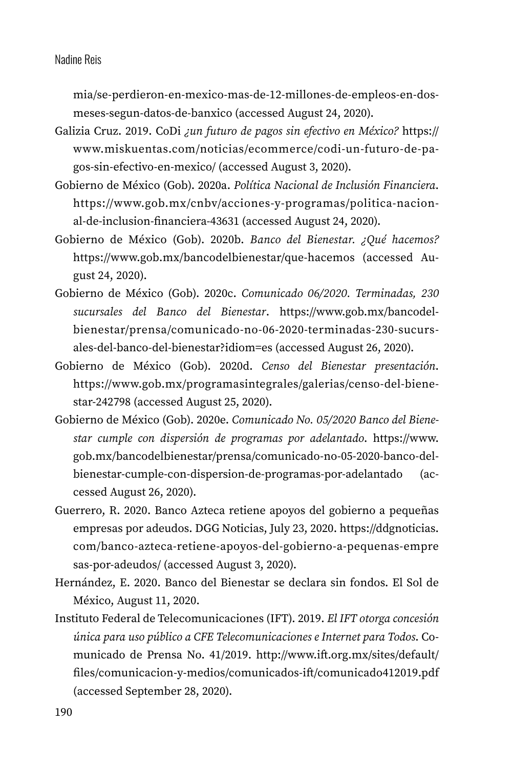[mia/se-perdieron-en-mexico-mas-de-12-millones-de-empleos-en-dos](https://www.elfinanciero.com.mx/economia/se-perdieron-en-mexico-mas-de-12-millones-de-empleos-en-dos-meses-segun-datos-de-banxico)[meses-segun-datos-de-banxico](https://www.elfinanciero.com.mx/economia/se-perdieron-en-mexico-mas-de-12-millones-de-empleos-en-dos-meses-segun-datos-de-banxico) (accessed August 24, 2020).

- Galizia Cruz. 2019. CoDi *¿un futuro de pagos sin efectivo en México?* [https://](https://www.miskuentas.com/noticias/ecommerce/codi-un-futuro-de-pagos-sin-efectivo-en-mexico/) [www.miskuentas.com/noticias/ecommerce/codi-un-futuro-de-pa](https://www.miskuentas.com/noticias/ecommerce/codi-un-futuro-de-pagos-sin-efectivo-en-mexico/)[gos-sin-efectivo-en-mexico/](https://www.miskuentas.com/noticias/ecommerce/codi-un-futuro-de-pagos-sin-efectivo-en-mexico/) (accessed August 3, 2020).
- Gobierno de México (Gob). 2020a. *Política Nacional de Inclusión Financiera*. [https://www.gob.mx/cnbv/acciones-y-programas/politica-nacion](https://www.gob.mx/cnbv/acciones-y-programas/politica-nacional-de-inclusion-financiera-43631)[al-de-inclusion-financiera-43631](https://www.gob.mx/cnbv/acciones-y-programas/politica-nacional-de-inclusion-financiera-43631) (accessed August 24, 2020).
- Gobierno de México (Gob). 2020b. *Banco del Bienestar. ¿Qué hacemos?* <https://www.gob.mx/bancodelbienestar/que-hacemos> (accessed August 24, 2020).
- Gobierno de México (Gob). 2020c. *Comunicado 06/2020. Terminadas, 230 sucursales del Banco del Bienestar*. [https://www.gob.mx/bancodel](https://www.gob.mx/bancodelbienestar/prensa/comunicado-no-06-2020-terminadas-230-sucursales-del-banco-del-bienestar?idiom=es)[bienestar/prensa/comunicado-no-06-2020-terminadas-230-sucurs](https://www.gob.mx/bancodelbienestar/prensa/comunicado-no-06-2020-terminadas-230-sucursales-del-banco-del-bienestar?idiom=es)[ales-del-banco-del-bienestar?idiom=es](https://www.gob.mx/bancodelbienestar/prensa/comunicado-no-06-2020-terminadas-230-sucursales-del-banco-del-bienestar?idiom=es) (accessed August 26, 2020).
- Gobierno de México (Gob). 2020d. *Censo del Bienestar presentación*. [https://www.gob.mx/programasintegrales/galerias/censo-del-biene](https://www.gob.mx/programasintegrales/galerias/censo-del-bienestar-242798)[star-242798](https://www.gob.mx/programasintegrales/galerias/censo-del-bienestar-242798) (accessed August 25, 2020).
- Gobierno de México (Gob). 2020e. *Comunicado No. 05/2020 Banco del Bienestar cumple con dispersión de programas por adelantado*. [https://www.](https://www.gob.mx/bancodelbienestar/prensa/comunicado-no-05-2020-banco-del-bienestar-cumple-con-dispersion-de-programas-por-adelantado) [gob.mx/bancodelbienestar/prensa/comunicado-no-05-2020-banco-del](https://www.gob.mx/bancodelbienestar/prensa/comunicado-no-05-2020-banco-del-bienestar-cumple-con-dispersion-de-programas-por-adelantado)[bienestar-cumple-con-dispersion-de-programas-por-adelantado](https://www.gob.mx/bancodelbienestar/prensa/comunicado-no-05-2020-banco-del-bienestar-cumple-con-dispersion-de-programas-por-adelantado) (accessed August 26, 2020).
- Guerrero, R. 2020. Banco Azteca retiene apoyos del gobierno a pequeñas empresas por adeudos. DGG Noticias, July 23, 2020. [https://ddgnoticias.](https://ddgnoticias.com/banco-azteca-retiene-apoyos-del-gobierno-a-pequenas-empre) [com/banco-azteca-retiene-apoyos-del-gobierno-a-pequenas-empre](https://ddgnoticias.com/banco-azteca-retiene-apoyos-del-gobierno-a-pequenas-empre) sas-por-adeudos/ (accessed August 3, 2020).
- Hernández, E. 2020. Banco del Bienestar se declara sin fondos. El Sol de México, August 11, 2020.
- Instituto Federal de Telecomunicaciones (IFT). 2019. *El IFT otorga concesión única para uso público a CFE Telecomunicaciones e Internet para Todos*. Comunicado de Prensa No. 41/2019. [http://www.ift.org.mx/sites/default/](http://www.ift.org.mx/sites/default/files/comunicacion-y-medios/comunicados-ift/comunicado412019.pdf) [files/comunicacion-y-medios/comunicados-ift/comunicado412019.pdf](http://www.ift.org.mx/sites/default/files/comunicacion-y-medios/comunicados-ift/comunicado412019.pdf) (accessed September 28, 2020).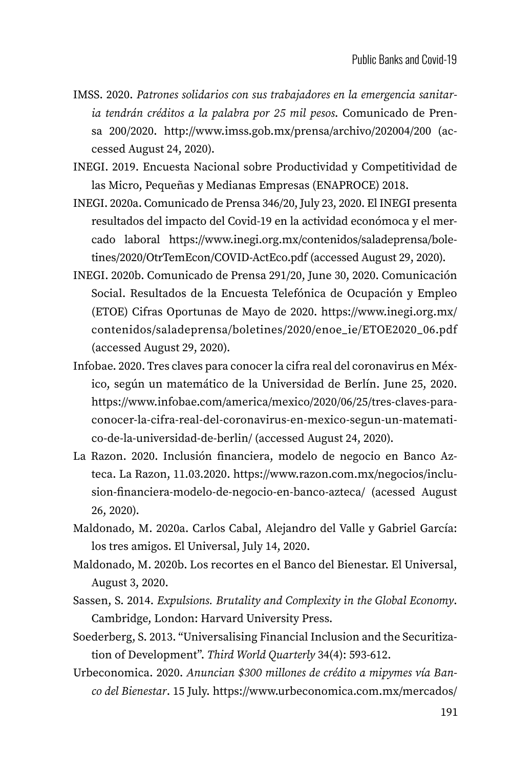- IMSS. 2020. *Patrones solidarios con sus trabajadores en la emergencia sanitaria tendrán créditos a la palabra por 25 mil pesos*. Comunicado de Prensa 200/2020. <http://www.imss.gob.mx/prensa/archivo/202004/200> (accessed August 24, 2020).
- INEGI. 2019. Encuesta Nacional sobre Productividad y Competitividad de las Micro, Pequeñas y Medianas Empresas (ENAPROCE) 2018.
- INEGI. 2020a. Comunicado de Prensa 346/20, July 23, 2020. El INEGI presenta resultados del impacto del Covid-19 en la actividad económoca y el mercado laboral [https://www.inegi.org.mx/contenidos/saladeprensa/bole](https://www.inegi.org.mx/contenidos/saladeprensa/boletines/2020/OtrTemEcon/COVID-ActEco.pdf)[tines/2020/OtrTemEcon/COVID-ActEco.pdf](https://www.inegi.org.mx/contenidos/saladeprensa/boletines/2020/OtrTemEcon/COVID-ActEco.pdf) (accessed August 29, 2020).
- INEGI. 2020b. Comunicado de Prensa 291/20, June 30, 2020. Comunicación Social. Resultados de la Encuesta Telefónica de Ocupación y Empleo (ETOE) Cifras Oportunas de Mayo de 2020. [https://www.inegi.org.mx/](https://www.inegi.org.mx/contenidos/saladeprensa/boletines/2020/enoe_ie/ETOE2020_06.pdf) [contenidos/saladeprensa/boletines/2020/enoe\\_ie/ETOE2020\\_06.pdf](https://www.inegi.org.mx/contenidos/saladeprensa/boletines/2020/enoe_ie/ETOE2020_06.pdf) (accessed August 29, 2020).
- Infobae. 2020. Tres claves para conocer la cifra real del coronavirus en México, según un matemático de la Universidad de Berlín. June 25, 2020. [https://www.infobae.com/america/mexico/2020/06/25/tres-claves-para](https://www.infobae.com/america/mexico/2020/06/25/tres-claves-para-conocer-la-cifra-real-del-coronavirus-en-mexico-segun-un-matematico-de-la-universidad-de-berlin/)[conocer-la-cifra-real-del-coronavirus-en-mexico-segun-un-matemati](https://www.infobae.com/america/mexico/2020/06/25/tres-claves-para-conocer-la-cifra-real-del-coronavirus-en-mexico-segun-un-matematico-de-la-universidad-de-berlin/)[co-de-la-universidad-de-berlin/](https://www.infobae.com/america/mexico/2020/06/25/tres-claves-para-conocer-la-cifra-real-del-coronavirus-en-mexico-segun-un-matematico-de-la-universidad-de-berlin/) (accessed August 24, 2020).
- La Razon. 2020. Inclusión financiera, modelo de negocio en Banco Azteca. La Razon, 11.03.2020. [https://www.razon.com.mx/negocios/inclu](https://www.razon.com.mx/negocios/inclusion-financiera-modelo-de-negocio-en-banco-azteca/)[sion-financiera-modelo-de-negocio-en-banco-azteca/](https://www.razon.com.mx/negocios/inclusion-financiera-modelo-de-negocio-en-banco-azteca/) (acessed August 26, 2020).
- Maldonado, M. 2020a. Carlos Cabal, Alejandro del Valle y Gabriel García: los tres amigos. El Universal, July 14, 2020.
- Maldonado, M. 2020b. Los recortes en el Banco del Bienestar. El Universal, August 3, 2020.
- Sassen, S. 2014. *Expulsions. Brutality and Complexity in the Global Economy*. Cambridge, London: Harvard University Press.
- Soederberg, S. 2013. "Universalising Financial Inclusion and the Securitization of Development". *Third World Quarterly* 34(4): 593-612.
- Urbeconomica. 2020. *Anuncian \$300 millones de crédito a mipymes vía Banco del Bienestar*. 15 July. [https://www.urbeconomica.com.mx/mercados/](https://www.urbeconomica.com.mx/mercados/credito-y-tasas-de-interes/26671-anuncian-300-millones-de-credito-a-mipymes-via-banco-del-bienestar)